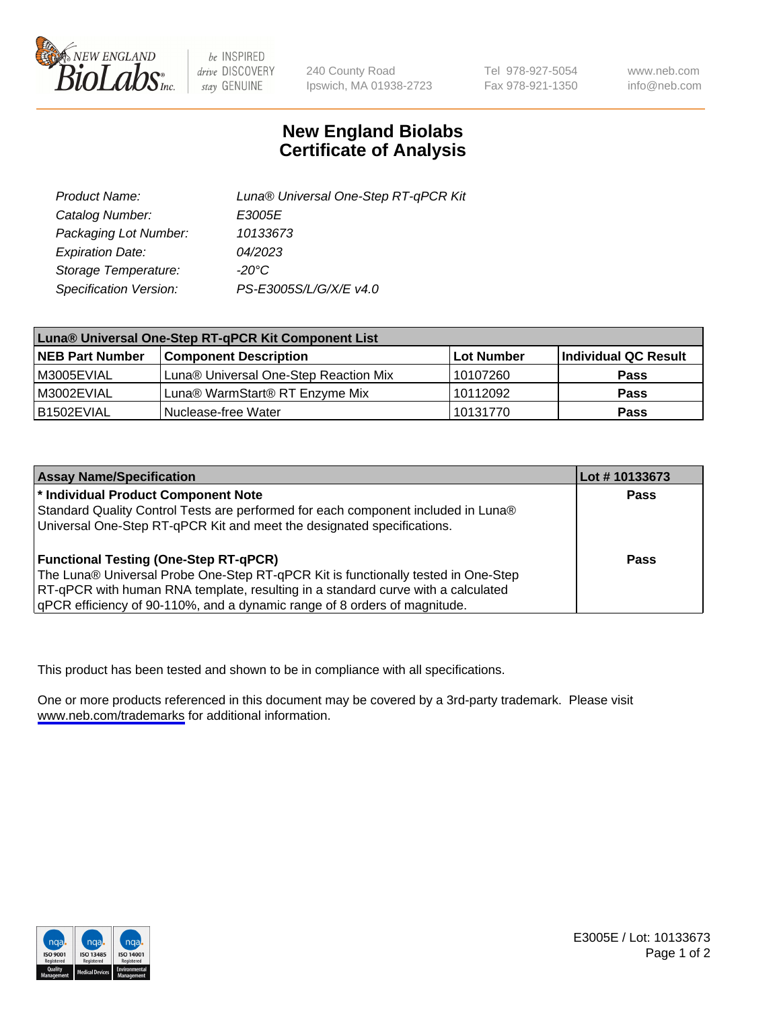

be INSPIRED drive DISCOVERY stay GENUINE

240 County Road Ipswich, MA 01938-2723 Tel 978-927-5054 Fax 978-921-1350

www.neb.com info@neb.com

## **New England Biolabs Certificate of Analysis**

| Product Name:           | Luna® Universal One-Step RT-qPCR Kit |
|-------------------------|--------------------------------------|
| Catalog Number:         | E3005E                               |
| Packaging Lot Number:   | 10133673                             |
| <b>Expiration Date:</b> | 04/2023                              |
| Storage Temperature:    | $-20^{\circ}$ C                      |
| Specification Version:  | PS-E3005S/L/G/X/E v4.0               |

| Luna® Universal One-Step RT-qPCR Kit Component List |                                       |            |                      |  |
|-----------------------------------------------------|---------------------------------------|------------|----------------------|--|
| <b>NEB Part Number</b>                              | <b>Component Description</b>          | Lot Number | Individual QC Result |  |
| M3005EVIAL                                          | Luna® Universal One-Step Reaction Mix | 10107260   | <b>Pass</b>          |  |
| M3002EVIAL                                          | Luna® WarmStart® RT Enzyme Mix        | 10112092   | <b>Pass</b>          |  |
| B1502EVIAL                                          | Nuclease-free Water                   | 10131770   | <b>Pass</b>          |  |

| <b>Assay Name/Specification</b>                                                   | Lot #10133673 |
|-----------------------------------------------------------------------------------|---------------|
| * Individual Product Component Note                                               | Pass          |
| Standard Quality Control Tests are performed for each component included in Luna® |               |
| Universal One-Step RT-qPCR Kit and meet the designated specifications.            |               |
| <b>Functional Testing (One-Step RT-qPCR)</b>                                      | Pass          |
| The Luna® Universal Probe One-Step RT-qPCR Kit is functionally tested in One-Step |               |
| RT-qPCR with human RNA template, resulting in a standard curve with a calculated  |               |
| qPCR efficiency of 90-110%, and a dynamic range of 8 orders of magnitude.         |               |

This product has been tested and shown to be in compliance with all specifications.

One or more products referenced in this document may be covered by a 3rd-party trademark. Please visit <www.neb.com/trademarks>for additional information.